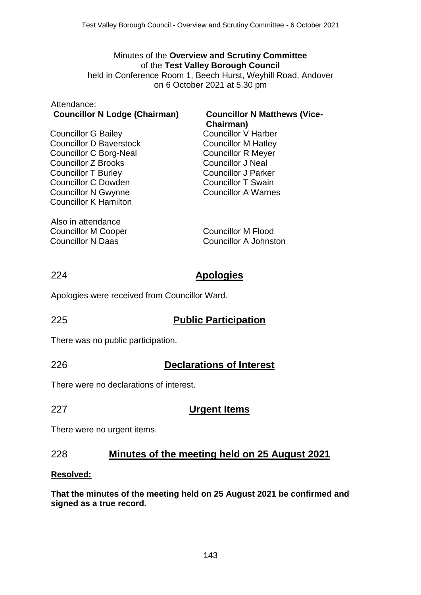# Minutes of the **Overview and Scrutiny Committee** of the **Test Valley Borough Council**

held in Conference Room 1, Beech Hurst, Weyhill Road, Andover on 6 October 2021 at 5.30 pm

#### Attendance: **Councillor N Lodge (Chairman) Councillor N Matthews (Vice-**

Councillor G Bailey Councillor D Baverstock Councillor C Borg-Neal Councillor Z Brooks Councillor T Burley Councillor C Dowden Councillor N Gwynne Councillor K Hamilton

Also in attendance Councillor M Cooper Councillor N Daas

# **Chairman)**

Councillor V Harber Councillor M Hatley Councillor R Meyer Councillor J Neal Councillor J Parker Councillor T Swain Councillor A Warnes

Councillor M Flood Councillor A Johnston

# 224 **Apologies**

Apologies were received from Councillor Ward.

# 225 **Public Participation**

There was no public participation.

226 **Declarations of Interest**

There were no declarations of interest.

# 227 **Urgent Items**

There were no urgent items.

# 228 **Minutes of the meeting held on 25 August 2021**

### **Resolved:**

**That the minutes of the meeting held on 25 August 2021 be confirmed and signed as a true record.**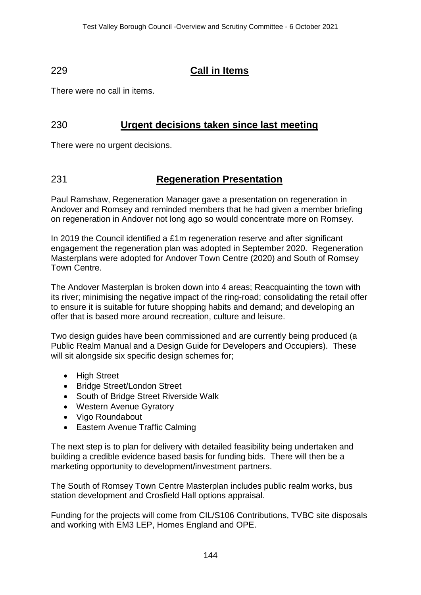# 229 **Call in Items**

There were no call in items.

# 230 **Urgent decisions taken since last meeting**

There were no urgent decisions.

# 231 **Regeneration Presentation**

Paul Ramshaw, Regeneration Manager gave a presentation on regeneration in Andover and Romsey and reminded members that he had given a member briefing on regeneration in Andover not long ago so would concentrate more on Romsey.

In 2019 the Council identified a £1m regeneration reserve and after significant engagement the regeneration plan was adopted in September 2020. Regeneration Masterplans were adopted for Andover Town Centre (2020) and South of Romsey Town Centre.

The Andover Masterplan is broken down into 4 areas; Reacquainting the town with its river; minimising the negative impact of the ring-road; consolidating the retail offer to ensure it is suitable for future shopping habits and demand; and developing an offer that is based more around recreation, culture and leisure.

Two design guides have been commissioned and are currently being produced (a Public Realm Manual and a Design Guide for Developers and Occupiers). These will sit alongside six specific design schemes for;

- High Street
- Bridge Street/London Street
- South of Bridge Street Riverside Walk
- Western Avenue Gyratory
- Vigo Roundabout
- Eastern Avenue Traffic Calming

The next step is to plan for delivery with detailed feasibility being undertaken and building a credible evidence based basis for funding bids. There will then be a marketing opportunity to development/investment partners.

The South of Romsey Town Centre Masterplan includes public realm works, bus station development and Crosfield Hall options appraisal.

Funding for the projects will come from CIL/S106 Contributions, TVBC site disposals and working with EM3 LEP, Homes England and OPE.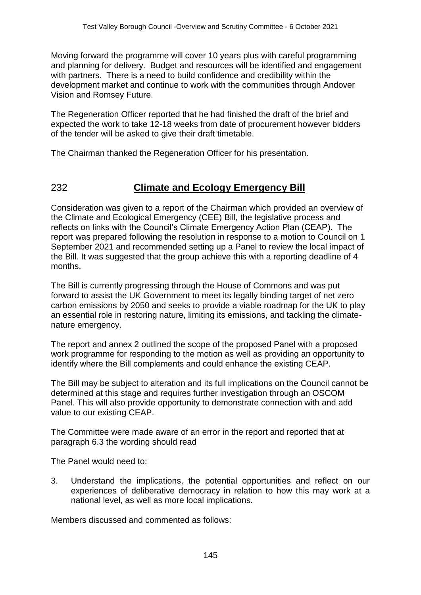Moving forward the programme will cover 10 years plus with careful programming and planning for delivery. Budget and resources will be identified and engagement with partners. There is a need to build confidence and credibility within the development market and continue to work with the communities through Andover Vision and Romsey Future.

The Regeneration Officer reported that he had finished the draft of the brief and expected the work to take 12-18 weeks from date of procurement however bidders of the tender will be asked to give their draft timetable.

The Chairman thanked the Regeneration Officer for his presentation.

# 232 **Climate and Ecology Emergency Bill**

Consideration was given to a report of the Chairman which provided an overview of the Climate and Ecological Emergency (CEE) Bill, the legislative process and reflects on links with the Council's Climate Emergency Action Plan (CEAP). The report was prepared following the resolution in response to a motion to Council on 1 September 2021 and recommended setting up a Panel to review the local impact of the Bill. It was suggested that the group achieve this with a reporting deadline of 4 months.

The Bill is currently progressing through the House of Commons and was put forward to assist the UK Government to meet its legally binding target of net zero carbon emissions by 2050 and seeks to provide a viable roadmap for the UK to play an essential role in restoring nature, limiting its emissions, and tackling the climatenature emergency.

The report and annex 2 outlined the scope of the proposed Panel with a proposed work programme for responding to the motion as well as providing an opportunity to identify where the Bill complements and could enhance the existing CEAP.

The Bill may be subject to alteration and its full implications on the Council cannot be determined at this stage and requires further investigation through an OSCOM Panel. This will also provide opportunity to demonstrate connection with and add value to our existing CEAP.

The Committee were made aware of an error in the report and reported that at paragraph 6.3 the wording should read

The Panel would need to:

3. Understand the implications, the potential opportunities and reflect on our experiences of deliberative democracy in relation to how this may work at a national level, as well as more local implications.

Members discussed and commented as follows: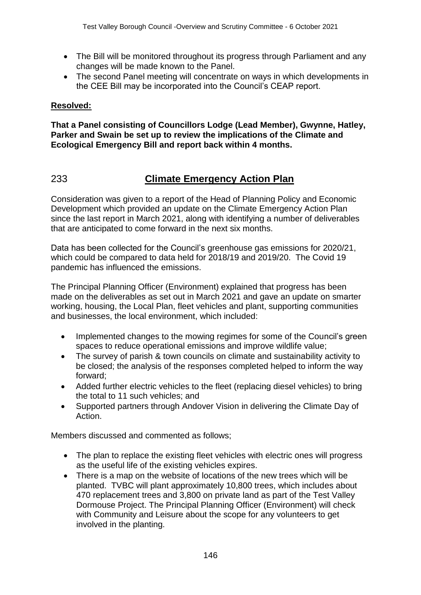- The Bill will be monitored throughout its progress through Parliament and any changes will be made known to the Panel.
- The second Panel meeting will concentrate on ways in which developments in the CEE Bill may be incorporated into the Council's CEAP report.

### **Resolved:**

**That a Panel consisting of Councillors Lodge (Lead Member), Gwynne, Hatley, Parker and Swain be set up to review the implications of the Climate and Ecological Emergency Bill and report back within 4 months.**

# 233 **Climate Emergency Action Plan**

Consideration was given to a report of the Head of Planning Policy and Economic Development which provided an update on the Climate Emergency Action Plan since the last report in March 2021, along with identifying a number of deliverables that are anticipated to come forward in the next six months.

Data has been collected for the Council's greenhouse gas emissions for 2020/21, which could be compared to data held for 2018/19 and 2019/20. The Covid 19 pandemic has influenced the emissions.

The Principal Planning Officer (Environment) explained that progress has been made on the deliverables as set out in March 2021 and gave an update on smarter working, housing, the Local Plan, fleet vehicles and plant, supporting communities and businesses, the local environment, which included:

- Implemented changes to the mowing regimes for some of the Council's green spaces to reduce operational emissions and improve wildlife value;
- The survey of parish & town councils on climate and sustainability activity to be closed; the analysis of the responses completed helped to inform the way forward;
- Added further electric vehicles to the fleet (replacing diesel vehicles) to bring the total to 11 such vehicles; and
- Supported partners through Andover Vision in delivering the Climate Day of Action.

Members discussed and commented as follows;

- The plan to replace the existing fleet vehicles with electric ones will progress as the useful life of the existing vehicles expires.
- There is a map on the website of locations of the new trees which will be planted. TVBC will plant approximately 10,800 trees, which includes about 470 replacement trees and 3,800 on private land as part of the Test Valley Dormouse Project. The Principal Planning Officer (Environment) will check with Community and Leisure about the scope for any volunteers to get involved in the planting.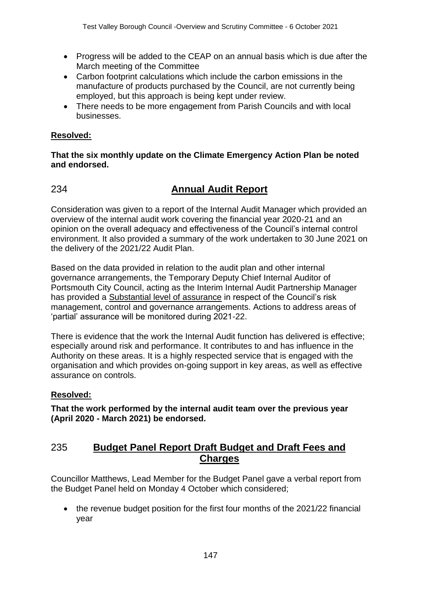- Progress will be added to the CEAP on an annual basis which is due after the March meeting of the Committee
- Carbon footprint calculations which include the carbon emissions in the manufacture of products purchased by the Council, are not currently being employed, but this approach is being kept under review.
- There needs to be more engagement from Parish Councils and with local businesses.

### **Resolved:**

#### **That the six monthly update on the Climate Emergency Action Plan be noted and endorsed.**

# 234 **Annual Audit Report**

Consideration was given to a report of the Internal Audit Manager which provided an overview of the internal audit work covering the financial year 2020-21 and an opinion on the overall adequacy and effectiveness of the Council's internal control environment. It also provided a summary of the work undertaken to 30 June 2021 on the delivery of the 2021/22 Audit Plan.

Based on the data provided in relation to the audit plan and other internal governance arrangements, the Temporary Deputy Chief Internal Auditor of Portsmouth City Council, acting as the Interim Internal Audit Partnership Manager has provided a Substantial level of assurance in respect of the Council's risk management, control and governance arrangements. Actions to address areas of 'partial' assurance will be monitored during 2021-22.

There is evidence that the work the Internal Audit function has delivered is effective; especially around risk and performance. It contributes to and has influence in the Authority on these areas. It is a highly respected service that is engaged with the organisation and which provides on-going support in key areas, as well as effective assurance on controls.

### **Resolved:**

**That the work performed by the internal audit team over the previous year (April 2020 - March 2021) be endorsed.**

# 235 **Budget Panel Report Draft Budget and Draft Fees and Charges**

Councillor Matthews, Lead Member for the Budget Panel gave a verbal report from the Budget Panel held on Monday 4 October which considered;

• the revenue budget position for the first four months of the 2021/22 financial year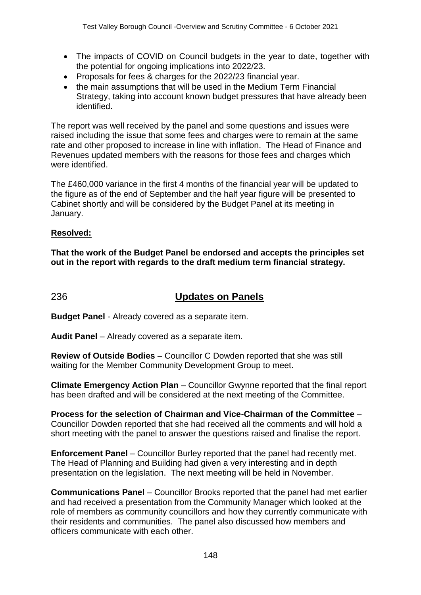- The impacts of COVID on Council budgets in the year to date, together with the potential for ongoing implications into 2022/23.
- Proposals for fees & charges for the 2022/23 financial year.
- the main assumptions that will be used in the Medium Term Financial Strategy, taking into account known budget pressures that have already been identified.

The report was well received by the panel and some questions and issues were raised including the issue that some fees and charges were to remain at the same rate and other proposed to increase in line with inflation. The Head of Finance and Revenues updated members with the reasons for those fees and charges which were identified.

The £460,000 variance in the first 4 months of the financial year will be updated to the figure as of the end of September and the half year figure will be presented to Cabinet shortly and will be considered by the Budget Panel at its meeting in January.

### **Resolved:**

**That the work of the Budget Panel be endorsed and accepts the principles set out in the report with regards to the draft medium term financial strategy.**

# 236 **Updates on Panels**

**Budget Panel** - Already covered as a separate item.

**Audit Panel** – Already covered as a separate item.

**Review of Outside Bodies** – Councillor C Dowden reported that she was still waiting for the Member Community Development Group to meet.

**Climate Emergency Action Plan** – Councillor Gwynne reported that the final report has been drafted and will be considered at the next meeting of the Committee.

**Process for the selection of Chairman and Vice-Chairman of the Committee** – Councillor Dowden reported that she had received all the comments and will hold a short meeting with the panel to answer the questions raised and finalise the report.

**Enforcement Panel** – Councillor Burley reported that the panel had recently met. The Head of Planning and Building had given a very interesting and in depth presentation on the legislation. The next meeting will be held in November.

**Communications Panel** – Councillor Brooks reported that the panel had met earlier and had received a presentation from the Community Manager which looked at the role of members as community councillors and how they currently communicate with their residents and communities. The panel also discussed how members and officers communicate with each other.